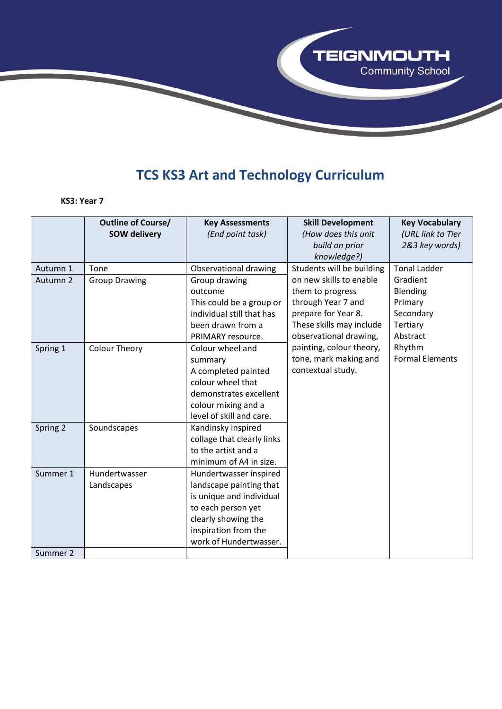

## **TCS KS3 Art and Technology Curriculum**

## **KS3: Year 7**

|          | <b>Outline of Course/</b> | <b>Key Assessments</b>     | <b>Skill Development</b>  | <b>Key Vocabulary</b>  |
|----------|---------------------------|----------------------------|---------------------------|------------------------|
|          | <b>SOW delivery</b>       | (End point task)           | (How does this unit       | (URL link to Tier      |
|          |                           |                            | build on prior            | 2&3 key words)         |
|          |                           |                            | knowledge?)               |                        |
| Autumn 1 | Tone                      | Observational drawing      | Students will be building | <b>Tonal Ladder</b>    |
| Autumn 2 | <b>Group Drawing</b>      | Group drawing              | on new skills to enable   | Gradient               |
|          |                           | outcome                    | them to progress          | Blending               |
|          |                           | This could be a group or   | through Year 7 and        | Primary                |
|          |                           | individual still that has  | prepare for Year 8.       | Secondary              |
|          |                           | been drawn from a          | These skills may include  | Tertiary               |
|          |                           | PRIMARY resource.          | observational drawing,    | Abstract               |
| Spring 1 | <b>Colour Theory</b>      | Colour wheel and           | painting, colour theory,  | Rhythm                 |
|          |                           | summary                    | tone, mark making and     | <b>Formal Elements</b> |
|          |                           | A completed painted        | contextual study.         |                        |
|          |                           | colour wheel that          |                           |                        |
|          |                           | demonstrates excellent     |                           |                        |
|          |                           | colour mixing and a        |                           |                        |
|          |                           | level of skill and care.   |                           |                        |
| Spring 2 | Soundscapes               | Kandinsky inspired         |                           |                        |
|          |                           | collage that clearly links |                           |                        |
|          |                           | to the artist and a        |                           |                        |
|          |                           | minimum of A4 in size.     |                           |                        |
| Summer 1 | Hundertwasser             | Hundertwasser inspired     |                           |                        |
|          | Landscapes                | landscape painting that    |                           |                        |
|          |                           | is unique and individual   |                           |                        |
|          |                           | to each person yet         |                           |                        |
|          |                           | clearly showing the        |                           |                        |
|          |                           | inspiration from the       |                           |                        |
|          |                           | work of Hundertwasser.     |                           |                        |
| Summer 2 |                           |                            |                           |                        |